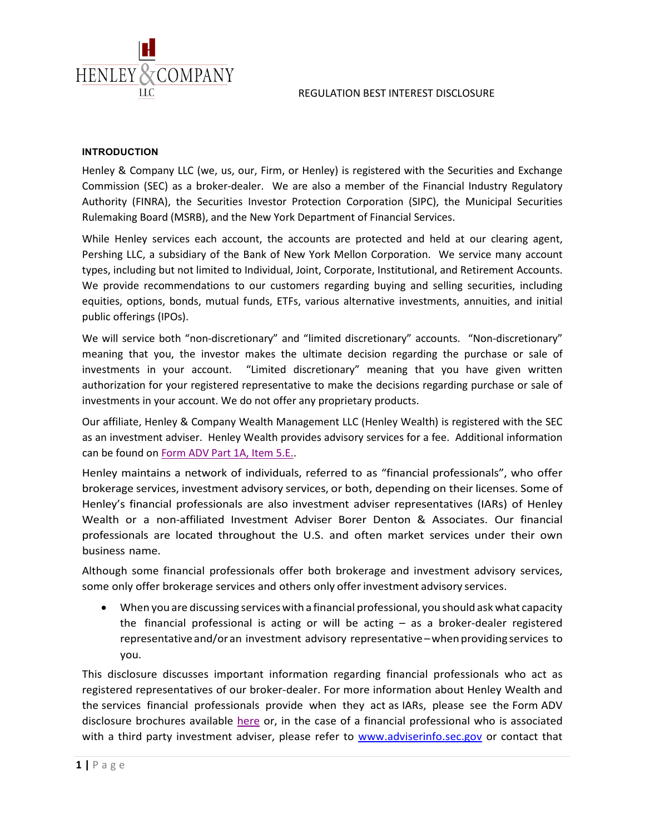



### **INTRODUCTION**

Henley & Company LLC (we, us, our, Firm, or Henley) is registered with the Securities and Exchange Commission (SEC) as a broker-dealer. We are also a member of the Financial Industry Regulatory Authority (FINRA), the Securities Investor Protection Corporation (SIPC), the Municipal Securities Rulemaking Board (MSRB), and the New York Department of Financial Services.

While Henley services each account, the accounts are protected and held at our clearing agent, Pershing LLC, a subsidiary of the Bank of New York Mellon Corporation. We service many account types, including but not limited to Individual, Joint, Corporate, Institutional, and Retirement Accounts. We provide recommendations to our customers regarding buying and selling securities, including equities, options, bonds, mutual funds, ETFs, various alternative investments, annuities, and initial public offerings (IPOs).

We will service both "non-discretionary" and "limited discretionary" accounts. "Non-discretionary" meaning that you, the investor makes the ultimate decision regarding the purchase or sale of investments in your account. "Limited discretionary" meaning that you have given written authorization for your registered representative to make the decisions regarding purchase or sale of investments in your account. We do not offer any proprietary products.

Our affiliate, Henley & Company Wealth Management LLC (Henley Wealth) is registered with the SEC as an investment adviser. Henley Wealth provides advisory services for a fee. Additional information can be found on [Form ADV Part 1A, Item 5.E..](https://adviserinfo.sec.gov/firm/summary/144884)

Henley maintains a network of individuals, referred to as "financial professionals", who offer brokerage services, investment advisory services, or both, depending on their licenses. Some of Henley's financial professionals are also investment adviser representatives (IARs) of Henley Wealth or a non-affiliated Investment Adviser Borer Denton & Associates. Our financial professionals are located throughout the U.S. and often market services under their own business name.

Although some financial professionals offer both brokerage and investment advisory services, some only offer brokerage services and others only offerinvestment advisory services.

• When you are discussing services with a financial professional, you should ask what capacity the financial professional is acting or will be acting – as a broker-dealer registered representative and/or an investment advisory representative –when providing services to you.

This disclosure discusses important information regarding financial professionals who act as registered representatives of our broker-dealer. For more information about Henley Wealth and the services financial professionals provide when they act as IARs, please see the Form ADV disclosure brochures available [here](https://adviserinfo.sec.gov/firm/summary/144884) or, in the case of a financial professional who is associated with a third party investment adviser, please refer to [www.adviserinfo.sec.gov](http://www.adviserinfo.sec.gov/) or contact that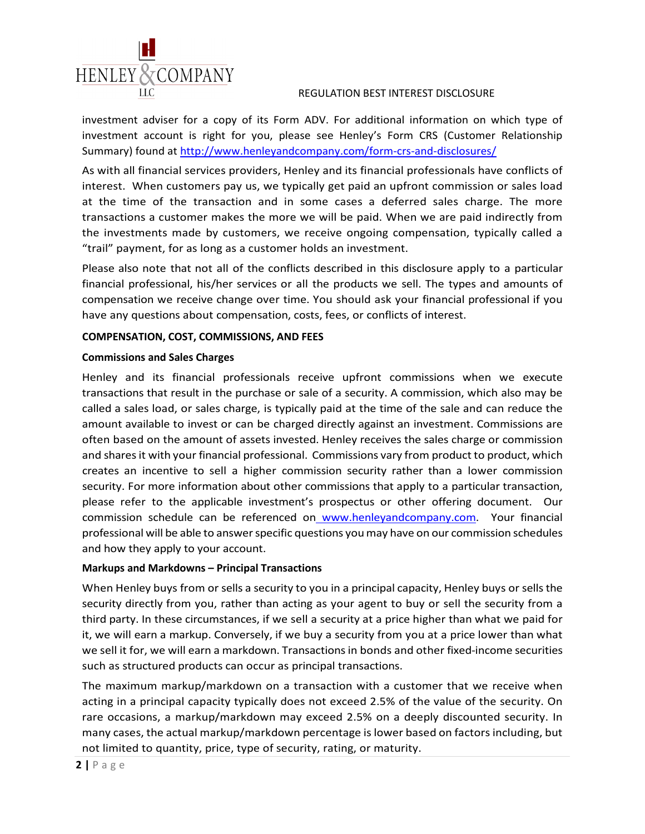investment adviser for a copy of its Form ADV. For additional information on which type of investment account is right for you, please see Henley's Form CRS (Customer Relationship Summary) found at<http://www.henleyandcompany.com/form-crs-and-disclosures/>

As with all financial services providers, Henley and its financial professionals have conflicts of interest. When customers pay us, we typically get paid an upfront commission or sales load at the time of the transaction and in some cases a deferred sales charge. The more transactions a customer makes the more we will be paid. When we are paid indirectly from the investments made by customers, we receive ongoing compensation, typically called a "trail" payment, for as long as a customer holds an investment.

Please also note that not all of the conflicts described in this disclosure apply to a particular financial professional, his/her services or all the products we sell. The types and amounts of compensation we receive change over time. You should ask your financial professional if you have any questions about compensation, costs, fees, or conflicts of interest.

### **COMPENSATION, COST, COMMISSIONS, AND FEES**

#### **Commissions and Sales Charges**

HENLEY & COMPANY

Henley and its financial professionals receive upfront commissions when we execute transactions that result in the purchase or sale of a security. A commission, which also may be called a sales load, or sales charge, is typically paid at the time of the sale and can reduce the amount available to invest or can be charged directly against an investment. Commissions are often based on the amount of assets invested. Henley receives the sales charge or commission and shares it with your financial professional. Commissions vary from product to product, which creates an incentive to sell a higher commission security rather than a lower commission security. For more information about other commissions that apply to a particular transaction, please refer to the applicable investment's prospectus or other offering document. Our commission schedule can be referenced on [www.henleyandcompany.com.](http://www.henleyandcompany.com/) Your financial professional will be able to answer specific questions you may have on our commission schedules and how they apply to your account.

### **Markups and Markdowns – Principal Transactions**

When Henley buys from or sells a security to you in a principal capacity, Henley buys or sells the security directly from you, rather than acting as your agent to buy or sell the security from a third party. In these circumstances, if we sell a security at a price higher than what we paid for it, we will earn a markup. Conversely, if we buy a security from you at a price lower than what we sell it for, we will earn a markdown. Transactions in bonds and other fixed-income securities such as structured products can occur as principal transactions.

The maximum markup/markdown on a transaction with a customer that we receive when acting in a principal capacity typically does not exceed 2.5% of the value of the security. On rare occasions, a markup/markdown may exceed 2.5% on a deeply discounted security. In many cases, the actual markup/markdown percentage is lower based on factors including, but not limited to quantity, price, type of security, rating, or maturity.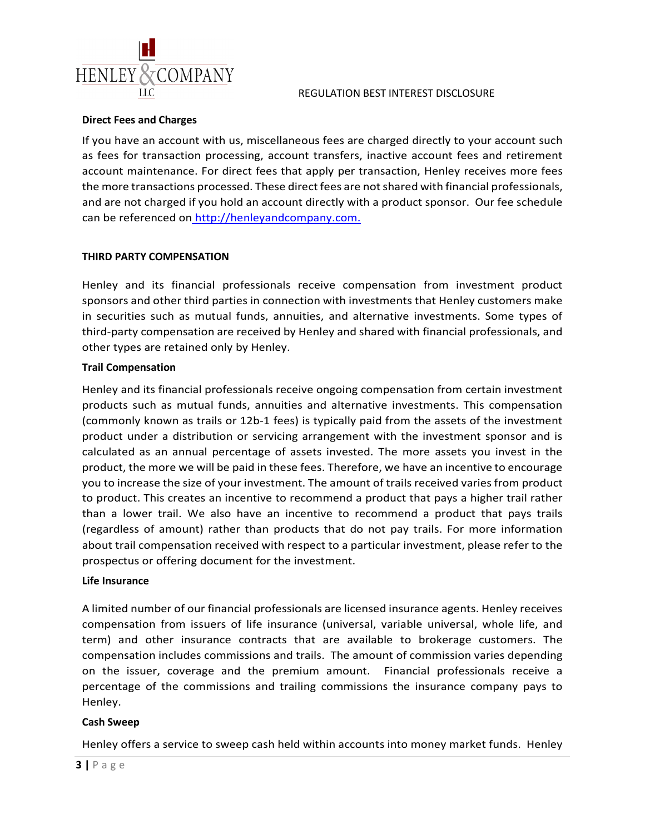

#### **Direct Fees and Charges**

If you have an account with us, miscellaneous fees are charged directly to your account such as fees for transaction processing, account transfers, inactive account fees and retirement account maintenance. For direct fees that apply per transaction, Henley receives more fees the more transactions processed. These direct fees are not shared with financial professionals, and are not charged if you hold an account directly with a product sponsor. Our fee schedule can be referenced on [http://henleyandcompany.com.](http://henleyandcompany.com/)

# **THIRD PARTY COMPENSATION**

Henley and its financial professionals receive compensation from investment product sponsors and other third parties in connection with investments that Henley customers make in securities such as mutual funds, annuities, and alternative investments. Some types of third-party compensation are received by Henley and shared with financial professionals, and other types are retained only by Henley.

# **Trail Compensation**

Henley and its financial professionals receive ongoing compensation from certain investment products such as mutual funds, annuities and alternative investments. This compensation (commonly known as trails or 12b-1 fees) is typically paid from the assets of the investment product under a distribution or servicing arrangement with the investment sponsor and is calculated as an annual percentage of assets invested. The more assets you invest in the product, the more we will be paid in these fees. Therefore, we have an incentive to encourage you to increase the size of your investment. The amount of trails received varies from product to product. This creates an incentive to recommend a product that pays a higher trail rather than a lower trail. We also have an incentive to recommend a product that pays trails (regardless of amount) rather than products that do not pay trails. For more information about trail compensation received with respect to a particular investment, please refer to the prospectus or offering document for the investment.

### **Life Insurance**

A limited number of our financial professionals are licensed insurance agents. Henley receives compensation from issuers of life insurance (universal, variable universal, whole life, and term) and other insurance contracts that are available to brokerage customers. The compensation includes commissions and trails. The amount of commission varies depending on the issuer, coverage and the premium amount. Financial professionals receive a percentage of the commissions and trailing commissions the insurance company pays to Henley.

### **Cash Sweep**

Henley offers a service to sweep cash held within accounts into money market funds. Henley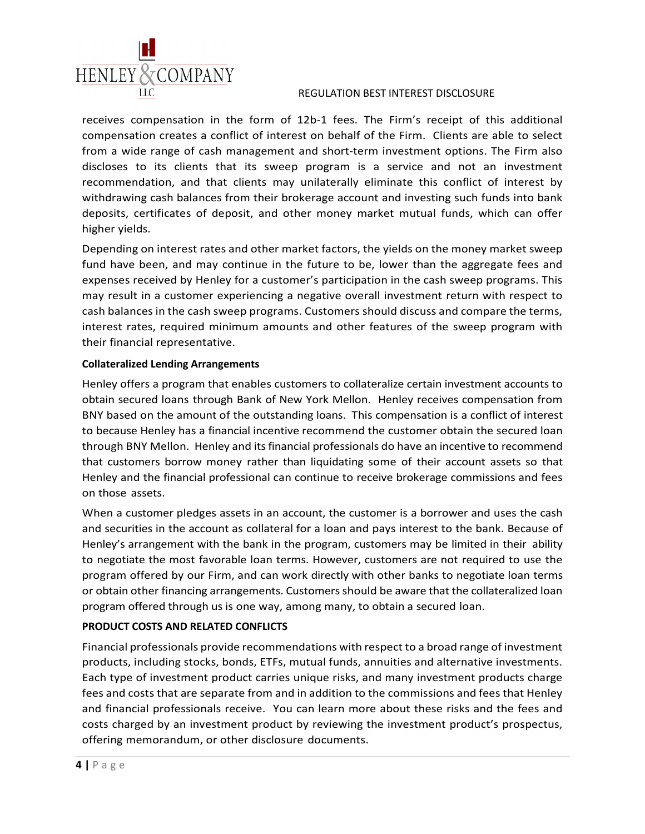

receives compensation in the form of 12b-1 fees. The Firm's receipt of this additional compensation creates a conflict of interest on behalf of the Firm. Clients are able to select from a wide range of cash management and short-term investment options. The Firm also discloses to its clients that its sweep program is a service and not an investment recommendation, and that clients may unilaterally eliminate this conflict of interest by withdrawing cash balances from their brokerage account and investing such funds into bank deposits, certificates of deposit, and other money market mutual funds, which can offer higher yields.

Depending on interest rates and other market factors, the yields on the money market sweep fund have been, and may continue in the future to be, lower than the aggregate fees and expenses received by Henley for a customer's participation in the cash sweep programs. This may result in a customer experiencing a negative overall investment return with respect to cash balances in the cash sweep programs. Customers should discuss and compare the terms, interest rates, required minimum amounts and other features of the sweep program with their financial representative.

# **Collateralized Lending Arrangements**

Henley offers a program that enables customers to collateralize certain investment accounts to obtain secured loans through Bank of New York Mellon. Henley receives compensation from BNY based on the amount of the outstanding loans. This compensation is a conflict of interest to because Henley has a financial incentive recommend the customer obtain the secured loan through BNY Mellon. Henley and its financial professionals do have an incentive to recommend that customers borrow money rather than liquidating some of their account assets so that Henley and the financial professional can continue to receive brokerage commissions and fees on those assets.

When a customer pledges assets in an account, the customer is a borrower and uses the cash and securities in the account as collateral for a loan and pays interest to the bank. Because of Henley's arrangement with the bank in the program, customers may be limited in their ability to negotiate the most favorable loan terms. However, customers are not required to use the program offered by our Firm, and can work directly with other banks to negotiate loan terms or obtain other financing arrangements. Customers should be aware that the collateralized loan program offered through us is one way, among many, to obtain a secured loan.

# **PRODUCT COSTS AND RELATED CONFLICTS**

Financial professionals provide recommendations with respect to a broad range of investment products, including stocks, bonds, ETFs, mutual funds, annuities and alternative investments. Each type of investment product carries unique risks, and many investment products charge fees and costs that are separate from and in addition to the commissions and fees that Henley and financial professionals receive. You can learn more about these risks and the fees and costs charged by an investment product by reviewing the investment product's prospectus, offering memorandum, or other disclosure documents.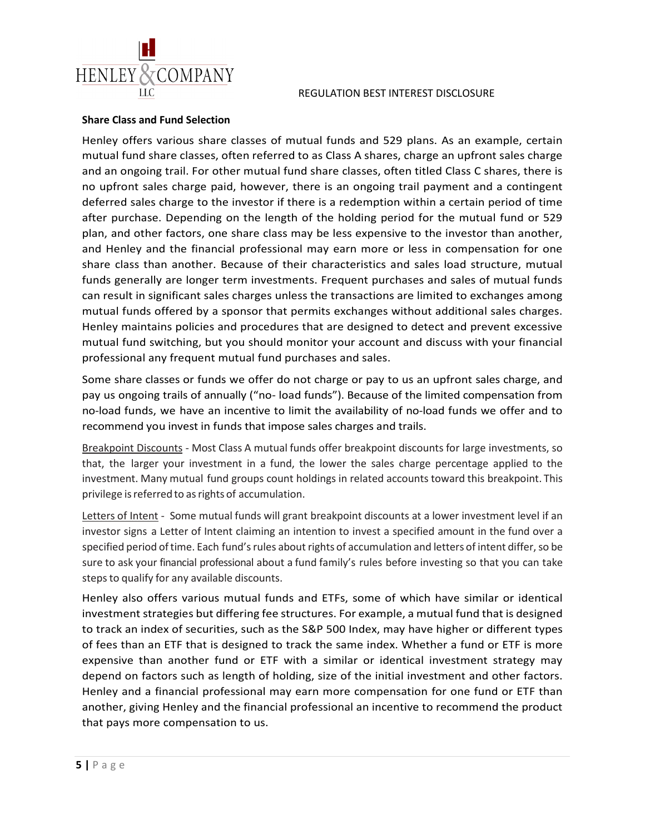



### **Share Class and Fund Selection**

Henley offers various share classes of mutual funds and 529 plans. As an example, certain mutual fund share classes, often referred to as Class A shares, charge an upfront sales charge and an ongoing trail. For other mutual fund share classes, often titled Class C shares, there is no upfront sales charge paid, however, there is an ongoing trail payment and a contingent deferred sales charge to the investor if there is a redemption within a certain period of time after purchase. Depending on the length of the holding period for the mutual fund or 529 plan, and other factors, one share class may be less expensive to the investor than another, and Henley and the financial professional may earn more or less in compensation for one share class than another. Because of their characteristics and sales load structure, mutual funds generally are longer term investments. Frequent purchases and sales of mutual funds can result in significant sales charges unless the transactions are limited to exchanges among mutual funds offered by a sponsor that permits exchanges without additional sales charges. Henley maintains policies and procedures that are designed to detect and prevent excessive mutual fund switching, but you should monitor your account and discuss with your financial professional any frequent mutual fund purchases and sales.

Some share classes or funds we offer do not charge or pay to us an upfront sales charge, and pay us ongoing trails of annually ("no- load funds"). Because of the limited compensation from no-load funds, we have an incentive to limit the availability of no-load funds we offer and to recommend you invest in funds that impose sales charges and trails.

Breakpoint Discounts - Most Class A mutual funds offer breakpoint discounts for large investments, so that, the larger your investment in a fund, the lower the sales charge percentage applied to the investment. Many mutual fund groups count holdings in related accounts toward this breakpoint. This privilege is referred to as rights of accumulation.

Letters of Intent - Some mutual funds will grant breakpoint discounts at a lower investment level if an investor signs a Letter of Intent claiming an intention to invest a specified amount in the fund over a specified period of time. Each fund's rules about rights of accumulation and letters of intent differ, so be sure to ask your financial professional about a fund family's rules before investing so that you can take steps to qualify for any available discounts.

Henley also offers various mutual funds and ETFs, some of which have similar or identical investment strategies but differing fee structures. For example, a mutual fund that is designed to track an index of securities, such as the S&P 500 Index, may have higher or different types of fees than an ETF that is designed to track the same index. Whether a fund or ETF is more expensive than another fund or ETF with a similar or identical investment strategy may depend on factors such as length of holding, size of the initial investment and other factors. Henley and a financial professional may earn more compensation for one fund or ETF than another, giving Henley and the financial professional an incentive to recommend the product that pays more compensation to us.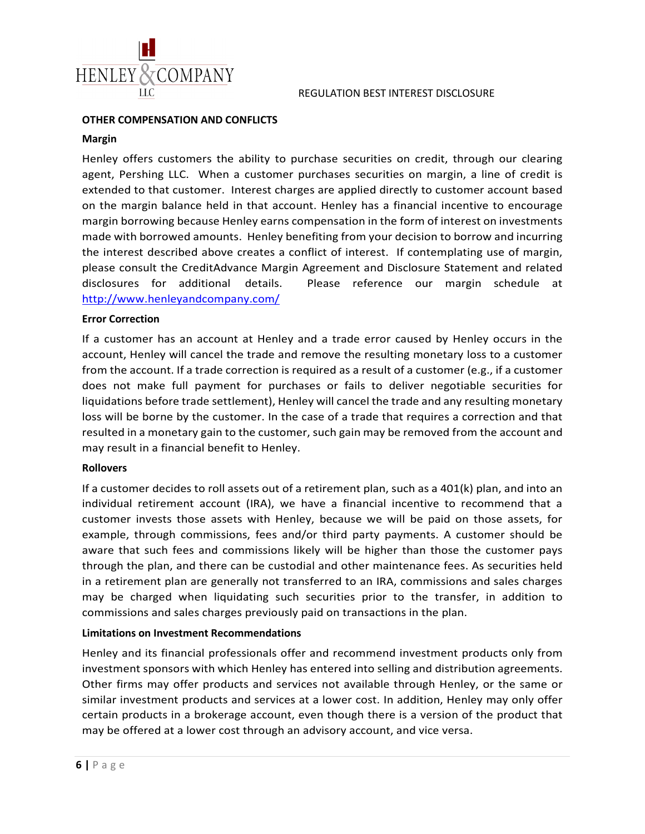

#### **OTHER COMPENSATION AND CONFLICTS**

#### **Margin**

Henley offers customers the ability to purchase securities on credit, through our clearing agent, Pershing LLC. When a customer purchases securities on margin, a line of credit is extended to that customer. Interest charges are applied directly to customer account based on the margin balance held in that account. Henley has a financial incentive to encourage margin borrowing because Henley earns compensation in the form of interest on investments made with borrowed amounts. Henley benefiting from your decision to borrow and incurring the interest described above creates a conflict of interest. If contemplating use of margin, please consult the CreditAdvance Margin Agreement and Disclosure Statement and related disclosures for additional details. Please reference our margin schedule at <http://www.henleyandcompany.com/>

#### **Error Correction**

If a customer has an account at Henley and a trade error caused by Henley occurs in the account, Henley will cancel the trade and remove the resulting monetary loss to a customer from the account. If a trade correction is required as a result of a customer (e.g., if a customer does not make full payment for purchases or fails to deliver negotiable securities for liquidations before trade settlement), Henley will cancel the trade and any resulting monetary loss will be borne by the customer. In the case of a trade that requires a correction and that resulted in a monetary gain to the customer, such gain may be removed from the account and may result in a financial benefit to Henley.

### **Rollovers**

If a customer decides to roll assets out of a retirement plan, such as a 401(k) plan, and into an individual retirement account (IRA), we have a financial incentive to recommend that a customer invests those assets with Henley, because we will be paid on those assets, for example, through commissions, fees and/or third party payments. A customer should be aware that such fees and commissions likely will be higher than those the customer pays through the plan, and there can be custodial and other maintenance fees. As securities held in a retirement plan are generally not transferred to an IRA, commissions and sales charges may be charged when liquidating such securities prior to the transfer, in addition to commissions and sales charges previously paid on transactions in the plan.

#### **Limitations on Investment Recommendations**

Henley and its financial professionals offer and recommend investment products only from investment sponsors with which Henley has entered into selling and distribution agreements. Other firms may offer products and services not available through Henley, or the same or similar investment products and services at a lower cost. In addition, Henley may only offer certain products in a brokerage account, even though there is a version of the product that may be offered at a lower cost through an advisory account, and vice versa.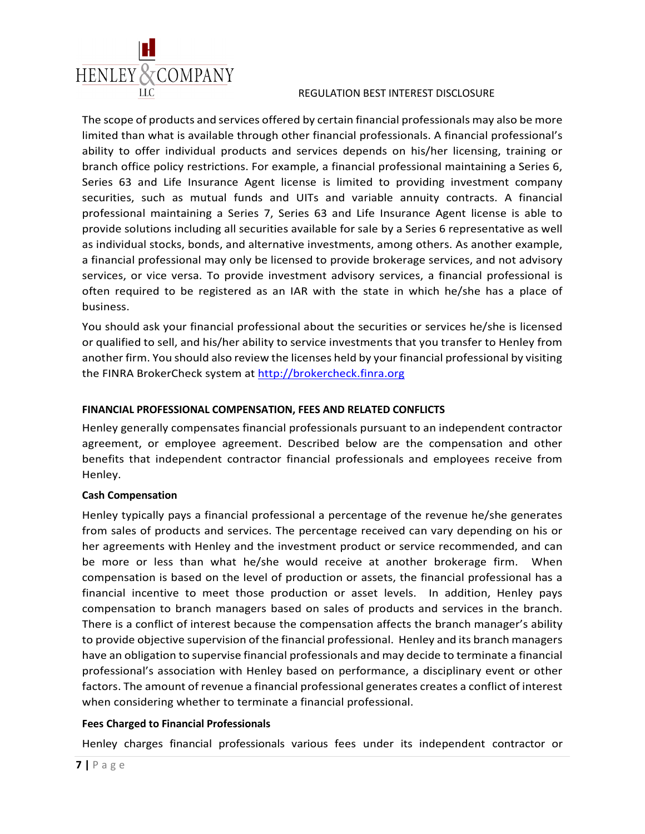

The scope of products and services offered by certain financial professionals may also be more limited than what is available through other financial professionals. A financial professional's ability to offer individual products and services depends on his/her licensing, training or branch office policy restrictions. For example, a financial professional maintaining a Series 6, Series 63 and Life Insurance Agent license is limited to providing investment company securities, such as mutual funds and UITs and variable annuity contracts. A financial professional maintaining a Series 7, Series 63 and Life Insurance Agent license is able to provide solutions including all securities available for sale by a Series 6 representative as well as individual stocks, bonds, and alternative investments, among others. As another example, a financial professional may only be licensed to provide brokerage services, and not advisory services, or vice versa. To provide investment advisory services, a financial professional is often required to be registered as an IAR with the state in which he/she has a place of business.

You should ask your financial professional about the securities or services he/she is licensed or qualified to sell, and his/her ability to service investments that you transfer to Henley from another firm. You should also review the licenses held by your financial professional by visiting the FINRA BrokerCheck system at [http://brokercheck.finra.org](http://brokercheck.finra.org/)

# **FINANCIAL PROFESSIONAL COMPENSATION, FEES AND RELATED CONFLICTS**

Henley generally compensates financial professionals pursuant to an independent contractor agreement, or employee agreement. Described below are the compensation and other benefits that independent contractor financial professionals and employees receive from Henley.

### **Cash Compensation**

Henley typically pays a financial professional a percentage of the revenue he/she generates from sales of products and services. The percentage received can vary depending on his or her agreements with Henley and the investment product or service recommended, and can be more or less than what he/she would receive at another brokerage firm. When compensation is based on the level of production or assets, the financial professional has a financial incentive to meet those production or asset levels. In addition, Henley pays compensation to branch managers based on sales of products and services in the branch. There is a conflict of interest because the compensation affects the branch manager's ability to provide objective supervision of the financial professional. Henley and its branch managers have an obligation to supervise financial professionals and may decide to terminate a financial professional's association with Henley based on performance, a disciplinary event or other factors. The amount of revenue a financial professional generates creates a conflict of interest when considering whether to terminate a financial professional.

### **Fees Charged to Financial Professionals**

Henley charges financial professionals various fees under its independent contractor or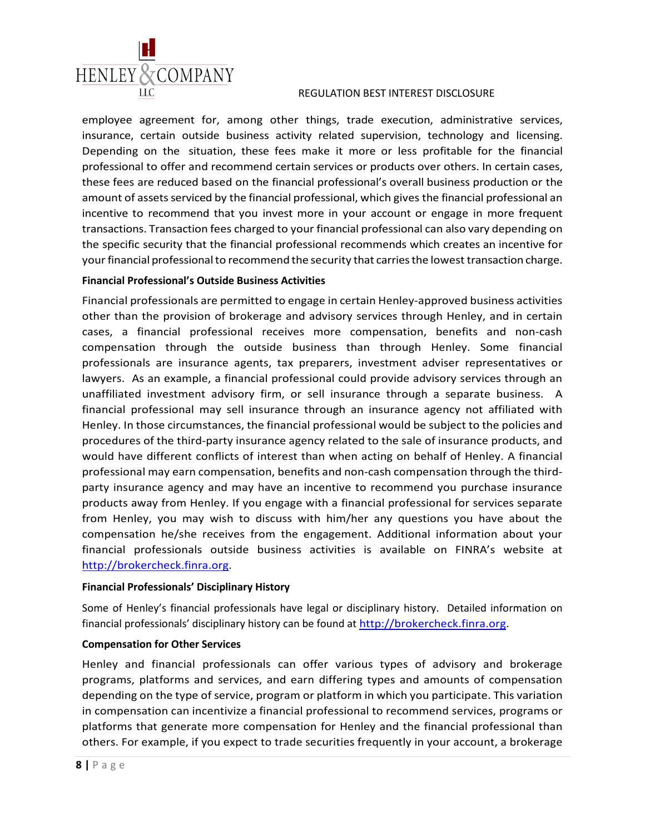

employee agreement for, among other things, trade execution, administrative services, insurance, certain outside business activity related supervision, technology and licensing. Depending on the situation, these fees make it more or less profitable for the financial professional to offer and recommend certain services or products over others. In certain cases, these fees are reduced based on the financial professional's overall business production or the amount of assets serviced by the financial professional, which gives the financial professional an incentive to recommend that you invest more in your account or engage in more frequent transactions. Transaction fees charged to your financial professional can also vary depending on the specific security that the financial professional recommends which creates an incentive for your financial professional to recommend the security that carries the lowest transaction charge.

### **Financial Professional's Outside Business Activities**

Financial professionals are permitted to engage in certain Henley-approved business activities other than the provision of brokerage and advisory services through Henley, and in certain cases, a financial professional receives more compensation, benefits and non-cash compensation through the outside business than through Henley. Some financial professionals are insurance agents, tax preparers, investment adviser representatives or lawyers. As an example, a financial professional could provide advisory services through an unaffiliated investment advisory firm, or sell insurance through a separate business. A financial professional may sell insurance through an insurance agency not affiliated with Henley. In those circumstances, the financial professional would be subject to the policies and procedures of the third-party insurance agency related to the sale of insurance products, and would have different conflicts of interest than when acting on behalf of Henley. A financial professional may earn compensation, benefits and non-cash compensation through the thirdparty insurance agency and may have an incentive to recommend you purchase insurance products away from Henley. If you engage with a financial professional for services separate from Henley, you may wish to discuss with him/her any questions you have about the compensation he/she receives from the engagement. Additional information about your financial professionals outside business activities is available on FINRA's website at [http://brokercheck.finra.org.](http://brokercheck.finra.org/)

### **Financial Professionals' Disciplinary History**

Some of Henley's financial professionals have legal or disciplinary history. Detailed information on financial professionals' disciplinary history can be found at [http://brokercheck.finra.org.](http://brokercheck.finra.org/)

### **Compensation for Other Services**

Henley and financial professionals can offer various types of advisory and brokerage programs, platforms and services, and earn differing types and amounts of compensation depending on the type of service, program or platform in which you participate. This variation in compensation can incentivize a financial professional to recommend services, programs or platforms that generate more compensation for Henley and the financial professional than others. For example, if you expect to trade securities frequently in your account, a brokerage